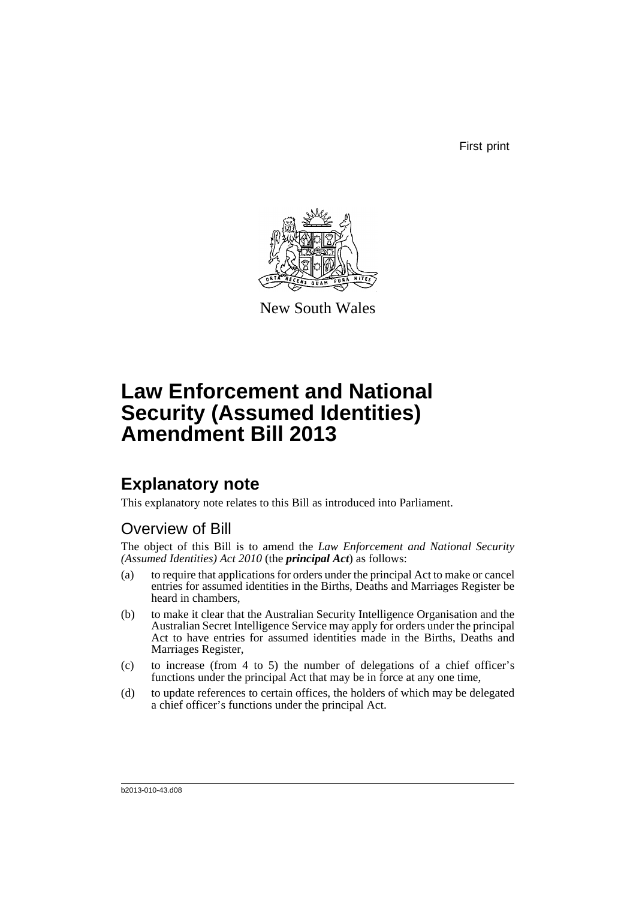First print



New South Wales

# **Law Enforcement and National Security (Assumed Identities) Amendment Bill 2013**

## **Explanatory note**

This explanatory note relates to this Bill as introduced into Parliament.

### Overview of Bill

The object of this Bill is to amend the *Law Enforcement and National Security (Assumed Identities) Act 2010* (the *principal Act*) as follows:

- (a) to require that applications for orders under the principal Act to make or cancel entries for assumed identities in the Births, Deaths and Marriages Register be heard in chambers,
- (b) to make it clear that the Australian Security Intelligence Organisation and the Australian Secret Intelligence Service may apply for orders under the principal Act to have entries for assumed identities made in the Births, Deaths and Marriages Register,
- (c) to increase (from 4 to 5) the number of delegations of a chief officer's functions under the principal Act that may be in force at any one time,
- (d) to update references to certain offices, the holders of which may be delegated a chief officer's functions under the principal Act.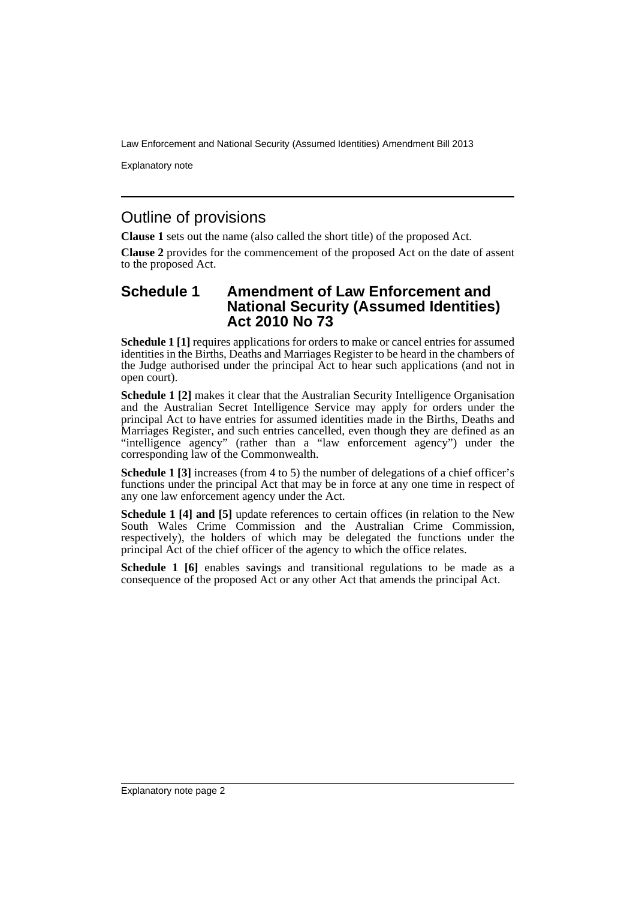Law Enforcement and National Security (Assumed Identities) Amendment Bill 2013

Explanatory note

### Outline of provisions

**Clause 1** sets out the name (also called the short title) of the proposed Act.

**Clause 2** provides for the commencement of the proposed Act on the date of assent to the proposed Act.

#### **Schedule 1 Amendment of Law Enforcement and National Security (Assumed Identities) Act 2010 No 73**

**Schedule 1 [1]** requires applications for orders to make or cancel entries for assumed identities in the Births, Deaths and Marriages Register to be heard in the chambers of the Judge authorised under the principal Act to hear such applications (and not in open court).

**Schedule 1 [2]** makes it clear that the Australian Security Intelligence Organisation and the Australian Secret Intelligence Service may apply for orders under the principal Act to have entries for assumed identities made in the Births, Deaths and Marriages Register, and such entries cancelled, even though they are defined as an "intelligence agency" (rather than a "law enforcement agency") under the corresponding law of the Commonwealth.

**Schedule 1 [3]** increases (from 4 to 5) the number of delegations of a chief officer's functions under the principal Act that may be in force at any one time in respect of any one law enforcement agency under the Act.

**Schedule 1 [4] and [5]** update references to certain offices (in relation to the New South Wales Crime Commission and the Australian Crime Commission, respectively), the holders of which may be delegated the functions under the principal Act of the chief officer of the agency to which the office relates.

**Schedule 1 [6]** enables savings and transitional regulations to be made as a consequence of the proposed Act or any other Act that amends the principal Act.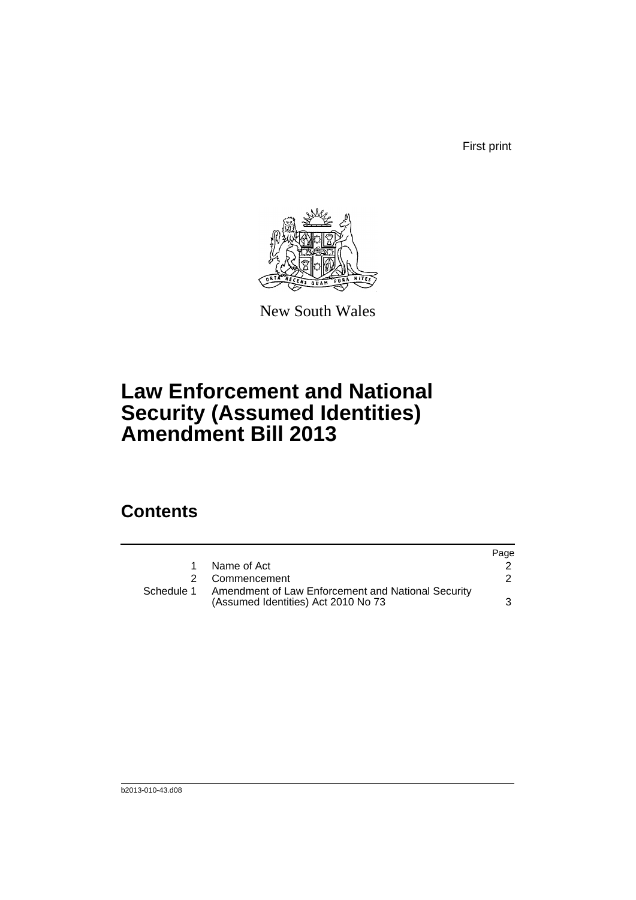First print



New South Wales

# **Law Enforcement and National Security (Assumed Identities) Amendment Bill 2013**

## **Contents**

|            |                                                                                           | Page |
|------------|-------------------------------------------------------------------------------------------|------|
|            | Name of Act                                                                               |      |
|            | 2 Commencement                                                                            |      |
| Schedule 1 | Amendment of Law Enforcement and National Security<br>(Assumed Identities) Act 2010 No 73 |      |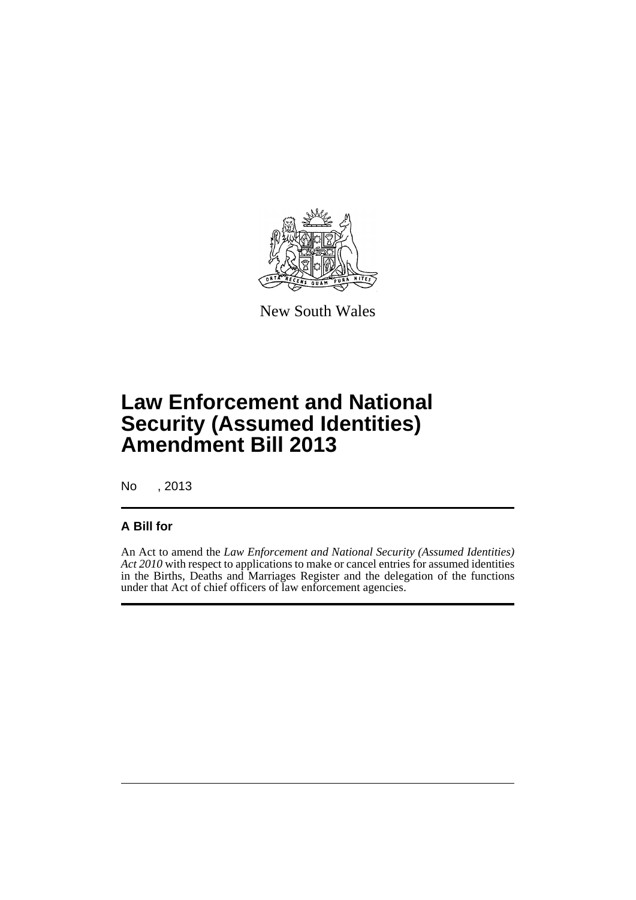

New South Wales

# **Law Enforcement and National Security (Assumed Identities) Amendment Bill 2013**

No , 2013

#### **A Bill for**

An Act to amend the *Law Enforcement and National Security (Assumed Identities) Act 2010* with respect to applications to make or cancel entries for assumed identities in the Births, Deaths and Marriages Register and the delegation of the functions under that Act of chief officers of law enforcement agencies.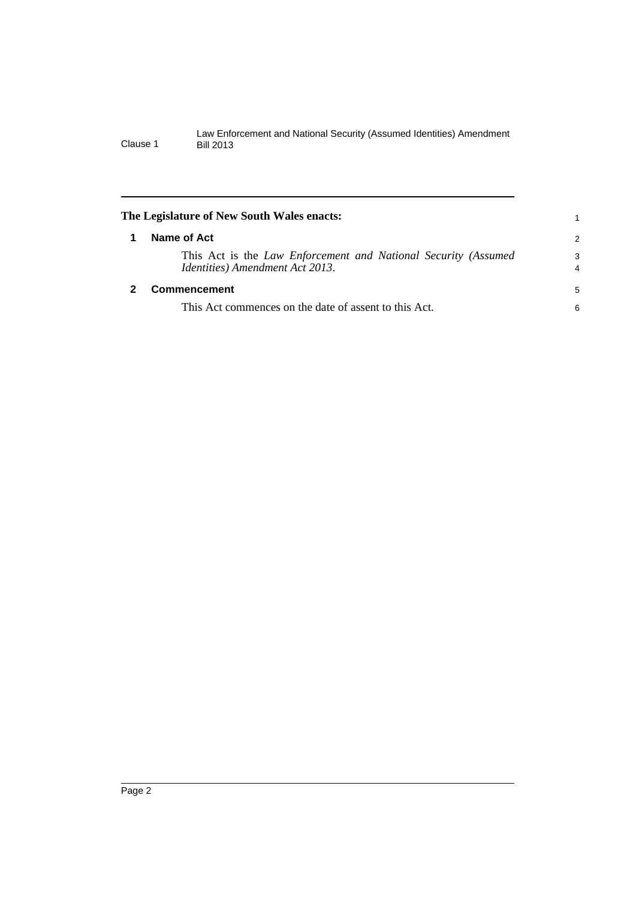<span id="page-5-1"></span><span id="page-5-0"></span>

| The Legislature of New South Wales enacts:                                                        |        |  |
|---------------------------------------------------------------------------------------------------|--------|--|
| Name of Act                                                                                       | 2      |  |
| This Act is the Law Enforcement and National Security (Assumed<br>Identities) Amendment Act 2013. | 3<br>4 |  |
| <b>Commencement</b>                                                                               | 5      |  |
| This Act commences on the date of assent to this Act.                                             | 6      |  |
|                                                                                                   |        |  |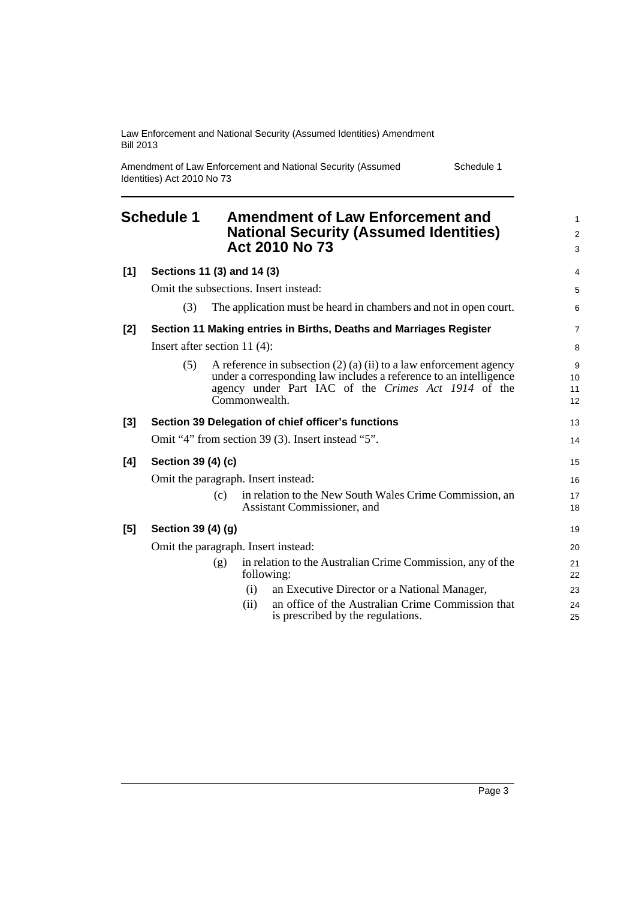Law Enforcement and National Security (Assumed Identities) Amendment Bill 2013

Amendment of Law Enforcement and National Security (Assumed Identities) Act 2010 No 73

Schedule 1

<span id="page-6-0"></span>

|       | <b>Schedule 1</b>                     |     | <b>Amendment of Law Enforcement and</b><br><b>National Security (Assumed Identities)</b><br>Act 2010 No 73                                                                                                            | $\mathbf{1}$<br>$\overline{c}$<br>3 |
|-------|---------------------------------------|-----|-----------------------------------------------------------------------------------------------------------------------------------------------------------------------------------------------------------------------|-------------------------------------|
| [1]   | Sections 11 (3) and 14 (3)            |     |                                                                                                                                                                                                                       | 4                                   |
|       | Omit the subsections. Insert instead: |     |                                                                                                                                                                                                                       | 5                                   |
|       | (3)                                   |     | The application must be heard in chambers and not in open court.                                                                                                                                                      | 6                                   |
| $[2]$ |                                       |     | Section 11 Making entries in Births, Deaths and Marriages Register                                                                                                                                                    | $\overline{7}$                      |
|       | Insert after section 11 $(4)$ :       |     |                                                                                                                                                                                                                       | 8                                   |
|       | (5)                                   |     | A reference in subsection $(2)$ $(a)$ $(ii)$ to a law enforcement agency<br>under a corresponding law includes a reference to an intelligence<br>agency under Part IAC of the Crimes Act 1914 of the<br>Commonwealth. | 9<br>10<br>11<br>12                 |
| $[3]$ |                                       |     | Section 39 Delegation of chief officer's functions                                                                                                                                                                    | 13                                  |
|       |                                       |     | Omit "4" from section 39 (3). Insert instead "5".                                                                                                                                                                     | 14                                  |
| [4]   | Section 39 (4) (c)                    |     |                                                                                                                                                                                                                       | 15                                  |
|       | Omit the paragraph. Insert instead:   |     |                                                                                                                                                                                                                       | 16                                  |
|       |                                       | (c) | in relation to the New South Wales Crime Commission, an<br>Assistant Commissioner, and                                                                                                                                | 17<br>18                            |
| $[5]$ | Section 39 (4) (g)                    |     |                                                                                                                                                                                                                       | 19                                  |
|       | Omit the paragraph. Insert instead:   |     |                                                                                                                                                                                                                       | 20                                  |
|       |                                       | (g) | in relation to the Australian Crime Commission, any of the<br>following:                                                                                                                                              | 21<br>22                            |
|       |                                       |     | an Executive Director or a National Manager,<br>(i)                                                                                                                                                                   | 23                                  |
|       |                                       |     | an office of the Australian Crime Commission that<br>(ii)<br>is prescribed by the regulations.                                                                                                                        | 24<br>25                            |